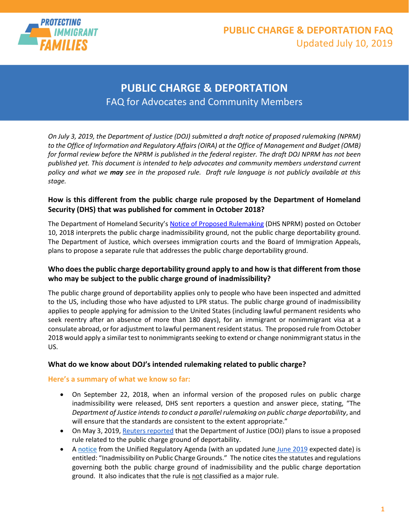

## **PUBLIC CHARGE & DEPORTATION FAQ** Updated July 10, 2019

## **PUBLIC CHARGE & DEPORTATION** FAQ for Advocates and Community Members

*On July 3, 2019, the Department of Justice (DOJ) submitted a draft notice of proposed rulemaking (NPRM) to the Office of Information and Regulatory Affairs (OIRA) at the Office of Management and Budget (OMB)*  for formal review before the NPRM is published in the federal register. The draft DOJ NPRM has not been *published yet. This document is intended to help advocates and community members understand current policy and what we may see in the proposed rule. Draft rule language is not publicly available at this stage.*

## **How is this different from the public charge rule proposed by the Department of Homeland Security (DHS) that was published for comment in October 2018?**

The Department of Homeland Security's [Notice of Proposed Rulemaking](https://www.federalregister.gov/documents/2018/10/10/2018-21106/inadmissibility-on-public-charge-grounds) (DHS NPRM) posted on October 10, 2018 interprets the public charge inadmissibility ground, not the public charge deportability ground. The Department of Justice, which oversees immigration courts and the Board of Immigration Appeals, plans to propose a separate rule that addresses the public charge deportability ground.

## **Who does the public charge deportability ground apply to and how is that different from those who may be subject to the public charge ground of inadmissibility?**

The public charge ground of deportability applies only to people who have been inspected and admitted to the US, including those who have adjusted to LPR status. The public charge ground of inadmissibility applies to people applying for admission to the United States (including lawful permanent residents who seek reentry after an absence of more than 180 days), for an immigrant or nonimmigrant visa at a consulate abroad, or for adjustment to lawful permanent resident status. The proposed rule from October 2018 would apply a similar test to nonimmigrants seeking to extend or change nonimmigrant status in the US.

### **What do we know about DOJ's intended rulemaking related to public charge?**

### **Here's a summary of what we know so far:**

- On September 22, 2018, when an informal version of the proposed rules on public charge inadmissibility were released, DHS sent reporters a question and answer piece, stating, "The *Department of Justice intends to conduct a parallel rulemaking on public charge deportability*, and will ensure that the standards are consistent to the extent appropriate."
- On May 3, 2019, [Reuters reported](https://www.reuters.com/article/us-usa-immigration-benefits-exclusive/exclusive-trump-administration-proposal-would-make-it-easier-to-deport-immigrants-who-use-public-benefits-idUSKCN1S91UR?il=0) that the Department of Justice (DOJ) plans to issue a proposed rule related to the public charge ground of deportability.
- A [notice](https://www.reginfo.gov/public/do/eAgendaViewRule?pubId=201810&RIN=1125-AA84) from the Unified Regulatory Agenda (with an updated June [June 2019](https://www.reginfo.gov/public/do/eAgendaViewRule?pubId=201904&RIN=1125-AA84) expected date) is entitled: "Inadmissibility on Public Charge Grounds." The notice cites the statutes and regulations governing both the public charge ground of inadmissibility and the public charge deportation ground. It also indicates that the rule is not classified as a major rule.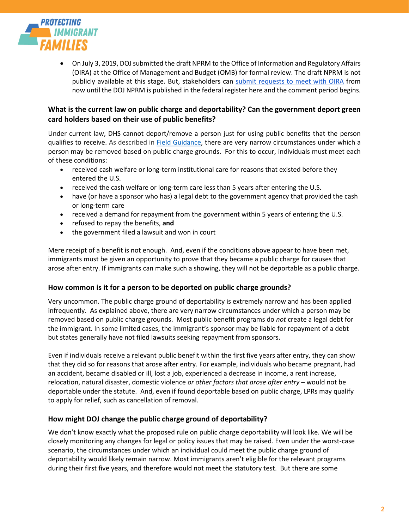

• On July 3, 2019, DOJ submitted the draft NPRM to the Office of Information and Regulatory Affairs (OIRA) at the Office of Management and Budget (OMB) for formal review. The draft NPRM is not publicly available at this stage. But, stakeholders can [submit requests to meet with OIRA](https://www.reginfo.gov/public/do/eo/neweomeeting) from now until the DOJ NPRM is published in the federal register here and the comment period begins.

## **What is the current law on public charge and deportability? Can the government deport green card holders based on their use of public benefits?**

Under current law, DHS cannot deport/remove a person just for using public benefits that the person qualifies to receive. As described in [Field Guidance,](https://www.govinfo.gov/content/pkg/FR-1999-05-26/pdf/99-13202.pdf) there are very narrow circumstances under which a person may be removed based on public charge grounds. For this to occur, individuals must meet each of these conditions:

- received cash welfare or long-term institutional care for reasons that existed before they entered the U.S.
- received the cash welfare or long-term care less than 5 years after entering the U.S.
- have (or have a sponsor who has) a legal debt to the government agency that provided the cash or long-term care
- received a demand for repayment from the government within 5 years of entering the U.S.
- refused to repay the benefits, **and**
- the government filed a lawsuit and won in court

Mere receipt of a benefit is not enough. And, even if the conditions above appear to have been met, immigrants must be given an opportunity to prove that they became a public charge for causes that arose after entry. If immigrants can make such a showing, they will not be deportable as a public charge.

#### **How common is it for a person to be deported on public charge grounds?**

Very uncommon. The public charge ground of deportability is extremely narrow and has been applied infrequently. As explained above, there are very narrow circumstances under which a person may be removed based on public charge grounds. Most public benefit programs do *not* create a legal debt for the immigrant. In some limited cases, the immigrant's sponsor may be liable for repayment of a debt but states generally have not filed lawsuits seeking repayment from sponsors.

Even if individuals receive a relevant public benefit within the first five years after entry, they can show that they did so for reasons that arose after entry. For example, individuals who became pregnant, had an accident, became disabled or ill, lost a job, experienced a decrease in income, a rent increase, relocation, natural disaster, domestic violence *or other factors that arose after entry* – would not be deportable under the statute. And, even if found deportable based on public charge, LPRs may qualify to apply for relief, such as cancellation of removal.

#### **How might DOJ change the public charge ground of deportability?**

We don't know exactly what the proposed rule on public charge deportability will look like. We will be closely monitoring any changes for legal or policy issues that may be raised. Even under the worst-case scenario, the circumstances under which an individual could meet the public charge ground of deportability would likely remain narrow. Most immigrants aren't eligible for the relevant programs during their first five years, and therefore would not meet the statutory test. But there are some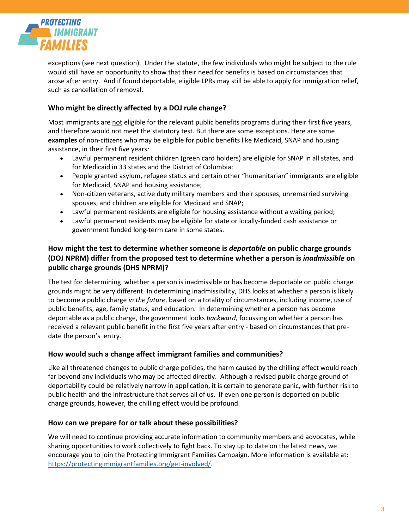

exceptions (see next question). Under the statute, the few individuals who might be subject to the rule would still have an opportunity to show that their need for benefits is based on circumstances that arose after entry. And if found deportable, eligible LPRs may still be able to apply for immigration relief, such as cancellation of removal.

## **Who might be directly affected by a DOJ rule change?**

Most immigrants are not eligible for the relevant public benefits programs during their first five years, and therefore would not meet the statutory test. But there are some exceptions. Here are some **examples** of non-citizens who may be eligible for public benefits like Medicaid, SNAP and housing assistance, in their first five years*:*

- Lawful permanent resident children (green card holders) are eligible for SNAP in all states, and for Medicaid in 33 states and the District of Columbia;
- People granted asylum, refugee status and certain other "humanitarian" immigrants are eligible for Medicaid, SNAP and housing assistance;
- Non-citizen veterans, active duty military members and their spouses, unremarried surviving spouses, and children are eligible for Medicaid and SNAP;
- Lawful permanent residents are eligible for housing assistance without a waiting period;
- Lawful permanent residents may be eligible for state or locally-funded cash assistance or government funded long-term care in some states.

## **How might the test to determine whether someone is** *deportable* **on public charge grounds (DOJ NPRM) differ from the proposed test to determine whether a person is** *inadmissible* **on public charge grounds (DHS NPRM)?**

The test for determining whether a person is inadmissible or has become deportable on public charge grounds might be very different. In determining inadmissibility, DHS looks at whether a person is likely to become a public charge *in the future*, based on a totality of circumstances, including income, use of public benefits, age, family status, and education. In determining whether a person has become deportable as a public charge, the government looks *backward,* focussing on whether a person has received a relevant public benefit in the first five years after entry - based on circumstances that predate the person's entry.

#### **How would such a change affect immigrant families and communities?**

Like all threatened changes to public charge policies, the harm caused by the chilling effect would reach far beyond any individuals who may be affected directly. Although a revised public charge ground of deportability could be relatively narrow in application, it is certain to generate panic, with further risk to public health and the infrastructure that serves all of us. If even one person is deported on public charge grounds, however, the chilling effect would be profound.

#### **How can we prepare for or talk about these possibilities?**

We will need to continue providing accurate information to community members and advocates, while sharing opportunities to work collectively to fight back. To stay up to date on the latest news, we encourage you to join the Protecting Immigrant Families Campaign. More information is available at: [https://protectingimmigrantfamilies.org/get-involved/.](https://protectingimmigrantfamilies.org/get-involved/)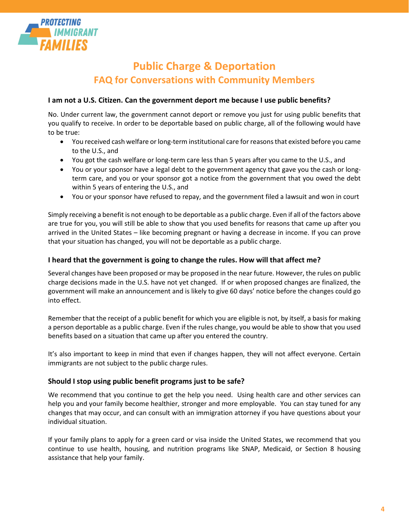

# **Public Charge & Deportation FAQ for Conversations with Community Members**

#### **I am not a U.S. Citizen. Can the government deport me because I use public benefits?**

No. Under current law, the government cannot deport or remove you just for using public benefits that you qualify to receive. In order to be deportable based on public charge, all of the following would have to be true:

- You received cash welfare or long-term institutional care for reasons that existed before you came to the U.S., and
- You got the cash welfare or long-term care less than 5 years after you came to the U.S., and
- You or your sponsor have a legal debt to the government agency that gave you the cash or longterm care, and you or your sponsor got a notice from the government that you owed the debt within 5 years of entering the U.S., and
- You or your sponsor have refused to repay, and the government filed a lawsuit and won in court

Simply receiving a benefit is not enough to be deportable as a public charge. Even if all of the factors above are true for you, you will still be able to show that you used benefits for reasons that came up after you arrived in the United States – like becoming pregnant or having a decrease in income. If you can prove that your situation has changed, you will not be deportable as a public charge.

#### **I heard that the government is going to change the rules. How will that affect me?**

Several changes have been proposed or may be proposed in the near future. However, the rules on public charge decisions made in the U.S. have not yet changed. If or when proposed changes are finalized, the government will make an announcement and is likely to give 60 days' notice before the changes could go into effect.

Remember that the receipt of a public benefit for which you are eligible is not, by itself, a basis for making a person deportable as a public charge. Even if the rules change, you would be able to show that you used benefits based on a situation that came up after you entered the country.

It's also important to keep in mind that even if changes happen, they will not affect everyone. Certain immigrants are not subject to the public charge rules.

#### **Should I stop using public benefit programs just to be safe?**

We recommend that you continue to get the help you need. Using health care and other services can help you and your family become healthier, stronger and more employable. You can stay tuned for any changes that may occur, and can consult with an immigration attorney if you have questions about your individual situation.

If your family plans to apply for a green card or visa inside the United States, we recommend that you continue to use health, housing, and nutrition programs like SNAP, Medicaid, or Section 8 housing assistance that help your family.